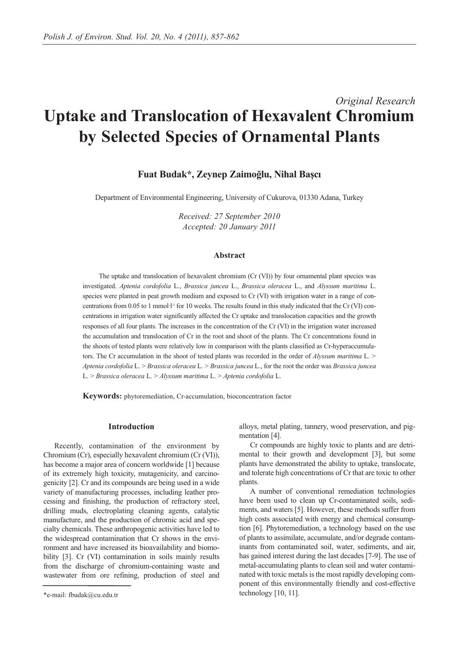# *Original Research* **Uptake and Translocation of Hexavalent Chromium by Selected Species of Ornamental Plants**

## **Fuat Budak\*, Zeynep Zaimoğlu, Nihal Başcı**

Department of Environmental Engineering, University of Cukurova, 01330 Adana, Turkey

*Received: 27 September 2010 Accepted: 20 January 2011*

#### **Abstract**

The uptake and translocation of hexavalent chromium (Cr (VI)) by four ornamental plant species was investigated. *Aptenia cordofolia* L., *Brassica juncea* L., *Brassica oleracea* L., and *Alyssum maritima* L. species were planted in peat growth medium and exposed to Cr (VI) with irrigation water in a range of concentrations from 0.05 to 1 mmol $1<sup>1</sup>$  for 10 weeks. The results found in this study indicated that the Cr (VI) concentrations in irrigation water significantly affected the Cr uptake and translocation capacities and the growth responses of all four plants. The increases in the concentration of the Cr (VI) in the irrigation water increased the accumulation and translocation of Cr in the root and shoot of the plants. The Cr concentrations found in the shoots of tested plants were relatively low in comparison with the plants classified as Cr-hyperaccumulators. The Cr accumulation in the shoot of tested plants was recorded in the order of *Alyssum maritima* L. > *Aptenia cordofolia* L. > *Brassica oleracea* L. > *Brassica juncea* L., for the root the order was *Brassica juncea* L. > *Brassica oleracea* L. > *Alyssum maritima* L. > *Aptenia cordofolia* L.

**Keywords:** phytoremediation, Cr-accumulation, bioconcentration factor

#### **Introduction**

Recently, contamination of the environment by Chromium (Cr), especially hexavalent chromium (Cr (VI)), has become a major area of concern worldwide [1] because of its extremely high toxicity, mutagenicity, and carcinogenicity [2]. Cr and its compounds are being used in a wide variety of manufacturing processes, including leather processing and finishing, the production of refractory steel, drilling muds, electroplating cleaning agents, catalytic manufacture, and the production of chromic acid and specialty chemicals. These anthropogenic activities have led to the widespread contamination that Cr shows in the environment and have increased its bioavailability and biomobility [3]. Cr (VI) contamination in soils mainly results from the discharge of chromium-containing waste and wastewater from ore refining, production of steel and alloys, metal plating, tannery, wood preservation, and pigmentation [4].

Cr compounds are highly toxic to plants and are detrimental to their growth and development [3], but some plants have demonstrated the ability to uptake, translocate, and tolerate high concentrations of Cr that are toxic to other plants.

A number of conventional remediation technologies have been used to clean up Cr-contaminated soils, sediments, and waters [5]. However, these methods suffer from high costs associated with energy and chemical consumption [6]. Phytoremediation, a technology based on the use of plants to assimilate, accumulate, and/or degrade contaminants from contaminated soil, water, sediments, and air, has gained interest during the last decades [7-9]. The use of metal-accumulating plants to clean soil and water contaminated with toxic metals is the most rapidly developing component of this environmentally friendly and cost-effective technology [10, 11].

<sup>\*</sup>e-mail: fbudak@cu.edu.tr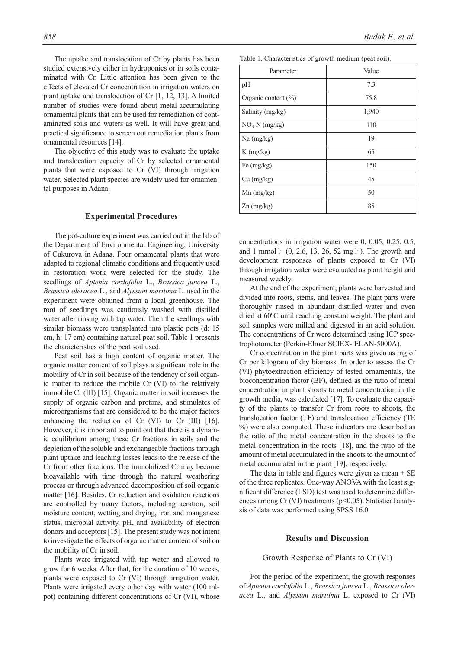The uptake and translocation of Cr by plants has been studied extensively either in hydroponics or in soils contaminated with Cr. Little attention has been given to the effects of elevated Cr concentration in irrigation waters on plant uptake and translocation of Cr [1, 12, 13]. A limited number of studies were found about metal-accumulating ornamental plants that can be used for remediation of contaminated soils and waters as well. It will have great and practical significance to screen out remediation plants from ornamental resources [14].

The objective of this study was to evaluate the uptake and translocation capacity of Cr by selected ornamental plants that were exposed to Cr (VI) through irrigation water. Selected plant species are widely used for ornamental purposes in Adana.

#### **Experimental Procedures**

The pot-culture experiment was carried out in the lab of the Department of Environmental Engineering, University of Cukurova in Adana. Four ornamental plants that were adapted to regional climatic conditions and frequently used in restoration work were selected for the study. The seedlings of *Aptenia cordofolia* L., *Brassica juncea* L., *Brassica oleracea* L., and *Alyssum maritima* L. used in the experiment were obtained from a local greenhouse. The root of seedlings was cautiously washed with distilled water after rinsing with tap water. Then the seedlings with similar biomass were transplanted into plastic pots (d: 15) cm, h: 17 cm) containing natural peat soil. Table 1 presents the characteristics of the peat soil used.

Peat soil has a high content of organic matter. The organic matter content of soil plays a significant role in the mobility of Cr in soil because of the tendency of soil organic matter to reduce the mobile Cr (VI) to the relatively immobile Cr (III) [15]. Organic matter in soil increases the supply of organic carbon and protons, and stimulates of microorganisms that are considered to be the major factors enhancing the reduction of Cr (VI) to Cr (III) [16]. However, it is important to point out that there is a dynamic equilibrium among these Cr fractions in soils and the depletion of the soluble and exchangeable fractions through plant uptake and leaching losses leads to the release of the Cr from other fractions. The immobilized Cr may become bioavailable with time through the natural weathering process or through advanced decomposition of soil organic matter [16]. Besides, Cr reduction and oxidation reactions are controlled by many factors, including aeration, soil moisture content, wetting and drying, iron and manganese status, microbial activity, pH, and availability of electron donors and acceptors [15]. The present study was not intent to investigate the effects of organic matter content of soil on the mobility of Cr in soil.

Plants were irrigated with tap water and allowed to grow for 6 weeks. After that, for the duration of 10 weeks, plants were exposed to Cr (VI) through irrigation water. Plants were irrigated every other day with water (100 mlpot) containing different concentrations of Cr (VI), whose

| Parameter               | Value |
|-------------------------|-------|
| pH                      | 7.3   |
| Organic content $(\% )$ | 75.8  |
| Salinity (mg/kg)        | 1,940 |
| $NO3-N$ (mg/kg)         | 110   |
| $Na$ (mg/kg)            | 19    |
| $K$ (mg/kg)             | 65    |
| Fe $(mg/kg)$            | 150   |
| Cu (mg/kg)              | 45    |
| $Mn$ (mg/kg)            | 50    |
| Zn (mg/kg)              | 85    |
|                         |       |

Table 1. Characteristics of growth medium (peat soil).

concentrations in irrigation water were 0, 0.05, 0.25, 0.5, and 1 mmol $\cdot$ l<sup>-1</sup> (0, 2.6, 13, 26, 52 mg $\cdot$ l<sup>-1</sup>). The growth and development responses of plants exposed to Cr (VI) through irrigation water were evaluated as plant height and measured weekly.

At the end of the experiment, plants were harvested and divided into roots, stems, and leaves. The plant parts were thoroughly rinsed in abundant distilled water and oven dried at 60ºC until reaching constant weight. The plant and soil samples were milled and digested in an acid solution. The concentrations of Cr were determined using ICP spectrophotometer (Perkin-Elmer SCIEX- ELAN-5000A).

Cr concentration in the plant parts was given as mg of Cr per kilogram of dry biomass. In order to assess the Cr (VI) phytoextraction efficiency of tested ornamentals, the bioconcentration factor (BF), defined as the ratio of metal concentration in plant shoots to metal concentration in the growth media, was calculated [17]. To evaluate the capacity of the plants to transfer Cr from roots to shoots, the translocation factor (TF) and translocation efficiency (TE %) were also computed. These indicators are described as the ratio of the metal concentration in the shoots to the metal concentration in the roots [18], and the ratio of the amount of metal accumulated in the shoots to the amount of metal accumulated in the plant [19], respectively.

The data in table and figures were given as mean  $\pm$  SE of the three replicates. One-way ANOVA with the least significant difference (LSD) test was used to determine differences among Cr (VI) treatments (p<0.05). Statistical analysis of data was performed using SPSS 16.0.

#### **Results and Discussion**

Growth Response of Plants to Cr (VI)

For the period of the experiment, the growth responses of *Aptenia cordofolia* L., *Brassica juncea* L., *Brassica oleracea* L., and *Alyssum maritima* L. exposed to Cr (VI)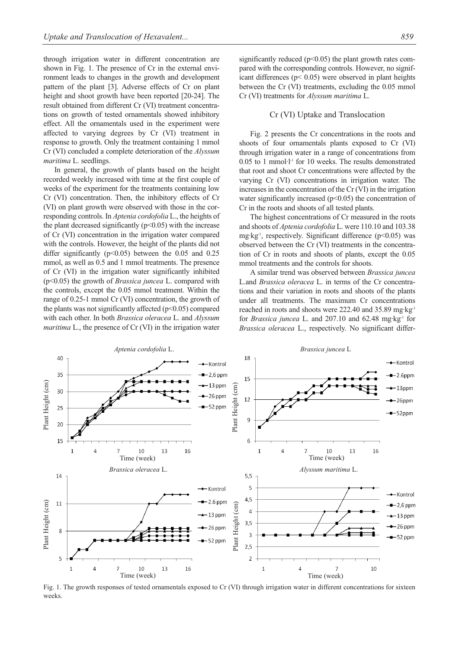through irrigation water in different concentration are shown in Fig. 1. The presence of Cr in the external environment leads to changes in the growth and development pattern of the plant [3]. Adverse effects of Cr on plant height and shoot growth have been reported [20-24]. The result obtained from different Cr (VI) treatment concentrations on growth of tested ornamentals showed inhibitory effect. All the ornamentals used in the experiment were affected to varying degrees by Cr (VI) treatment in response to growth. Only the treatment containing 1 mmol Cr (VI) concluded a complete deterioration of the *Alyssum maritima* L. seedlings.

In general, the growth of plants based on the height recorded weekly increased with time at the first couple of weeks of the experiment for the treatments containing low Cr (VI) concentration. Then, the inhibitory effects of Cr (VI) on plant growth were observed with those in the corresponding controls. In *Aptenia cordofolia* L., the heights of the plant decreased significantly  $(p<0.05)$  with the increase of Cr (VI) concentration in the irrigation water compared with the controls. However, the height of the plants did not differ significantly ( $p<0.05$ ) between the 0.05 and 0.25 mmol, as well as 0.5 and 1 mmol treatments. The presence of Cr (VI) in the irrigation water significantly inhibited (p<0.05) the growth of *Brassica juncea* L. compared with the controls, except the 0.05 mmol treatment. Within the range of 0.25-1 mmol Cr (VI) concentration, the growth of the plants was not significantly affected  $(p<0.05)$  compared with each other. In both *Brassica oleracea* L. and *Alyssum maritima* L., the presence of Cr (VI) in the irrigation water significantly reduced ( $p$ <0.05) the plant growth rates compared with the corresponding controls. However, no significant differences (p< 0.05) were observed in plant heights between the Cr (VI) treatments, excluding the 0.05 mmol Cr (VI) treatments for *Alyssum maritima* L.

### Cr (VI) Uptake and Translocation

Fig. 2 presents the Cr concentrations in the roots and shoots of four ornamentals plants exposed to Cr (VI) through irrigation water in a range of concentrations from 0.05 to 1 mmol·l-1 for 10 weeks. The results demonstrated that root and shoot Cr concentrations were affected by the varying Cr (VI) concentrations in irrigation water. The increases in the concentration of the Cr (VI) in the irrigation water significantly increased  $(p<0.05)$  the concentration of Cr in the roots and shoots of all tested plants.

The highest concentrations of Cr measured in the roots and shoots of *Aptenia cordofolia* L. were 110.10 and 103.38 mg·kg<sup>-1</sup>, respectively. Significant difference ( $p$ <0.05) was observed between the Cr (VI) treatments in the concentration of Cr in roots and shoots of plants, except the 0.05 mmol treatments and the controls for shoots.

A similar trend was observed between *Brassica juncea* L.and *Brassica oleracea* L. in terms of the Cr concentrations and their variation in roots and shoots of the plants under all treatments. The maximum Cr concentrations reached in roots and shoots were 222.40 and 35.89 mg·kg-1 for *Brassica juncea* L. and 207.10 and 62.48 mg·kg<sup>-1</sup> for *Brassica oleracea* L., respectively. No significant differ-



Fig. 1. The growth responses of tested ornamentals exposed to Cr (VI) through irrigation water in different concentrations for sixteen weeks.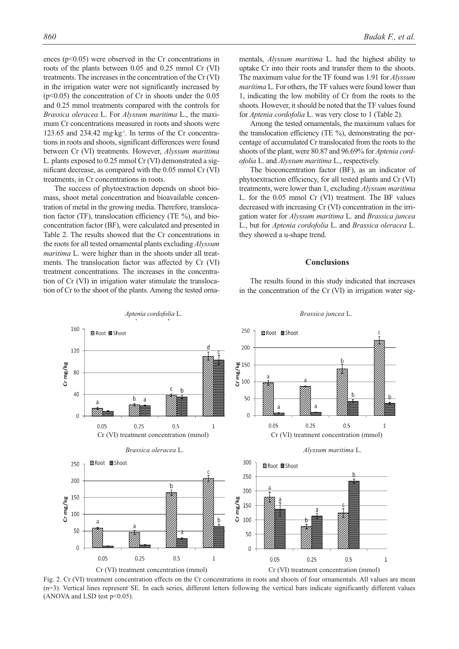ences  $(p<0.05)$  were observed in the Cr concentrations in roots of the plants between 0.05 and 0.25 mmol Cr (VI) treatments. The increases in the concentration of the Cr (VI) in the irrigation water were not significantly increased by  $(p<0.05)$  the concentration of Cr in shoots under the 0.05 and 0.25 mmol treatments compared with the controls for *Brassica oleracea* L. For *Alyssum maritima* L., the maximum Cr concentrations measured in roots and shoots were 123.65 and 234.42 mg·kg-1. In terms of the Cr concentrations in roots and shoots, significant differences were found between Cr (VI) treatments. However, *Alyssum maritima* L. plants exposed to 0.25 mmol Cr (VI) demonstrated a significant decrease, as compared with the 0.05 mmol Cr (VI) treatments, in Cr concentrations in roots.

The success of phytoextraction depends on shoot biomass, shoot metal concentration and bioavailable concentration of metal in the growing media. Therefore, translocation factor (TF), translocation efficiency (TE %), and bioconcentration factor (BF), were calculated and presented in Table 2. The results showed that the Cr concentrations in the roots for all tested ornamental plants excluding *Alyssum maritima* L. were higher than in the shoots under all treatments. The translocation factor was affected by Cr (VI) treatment concentrations. The increases in the concentration of Cr (VI) in irrigation water stimulate the translocation of Cr to the shoot of the plants. Among the tested ornamentals, *Alyssum maritima* L. had the highest ability to uptake Cr into their roots and transfer them to the shoots. The maximum value for the TF found was 1.91 for *Alyssum maritima* L. For others, the TF values were found lower than 1, indicating the low mobility of Cr from the roots to the shoots. However, it should be noted that the TF values found for *Aptenia cordofolia* L. was very close to 1 (Table 2).

Among the tested ornamentals, the maximum values for the translocation efficiency (TE %), demonstrating the percentage of accumulated Cr translocated from the roots to the shoots of the plant, were 80.87 and 96.69% for *Aptenia cordofolia* L. and *Alyssum maritima* L., respectively.

The bioconcentration factor (BF), as an indicator of phytoextraction efficiency, for all tested plants and Cr (VI) treatments, were lower than 1, excluding *Alyssum maritima* L. for the 0.05 mmol Cr (VI) treatment. The BF values decreased with increasing Cr (VI) concentration in the irrigation water for *Alyssum maritima* L. and *Brassica juncea* L., but for *Aptenia cordofolia* L. and *Brassica oleracea* L. they showed a u-shape trend.

#### **Conclusions**

The results found in this study indicated that increases in the concentration of the Cr (VI) in irrigation water sig-



Fig. 2. Cr (VI) treatment concentration effects on the Cr concentrations in roots and shoots of four ornamentals. All values are mean (n=3). Vertical lines represent SE. In each series, different letters following the vertical bars indicate significantly different values (ANOVA and LSD test  $p<0.05$ ).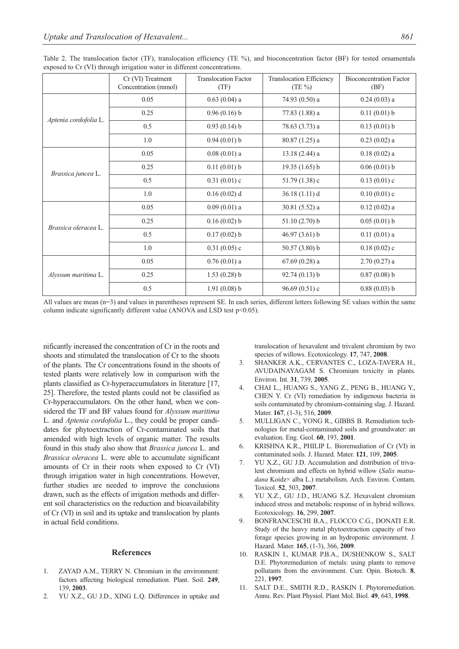|                       | Cr (VI) Treatment<br>Concentration (mmol) | <b>Translocation Factor</b><br>(TF) | Translocation Efficiency<br>$(TE\%)$ | <b>Bioconcentration Factor</b><br>(BF) |
|-----------------------|-------------------------------------------|-------------------------------------|--------------------------------------|----------------------------------------|
| Aptenia cordofolia L. | 0.05                                      | $0.63(0.04)$ a                      | 74.93 (0.50) a                       | $0.24(0.03)$ a                         |
|                       | 0.25                                      | 0.96(0.16) b                        | 77.83 (1.88) a                       | 0.11(0.01) b                           |
|                       | 0.5                                       | 0.93(0.14) b                        | 78.63 (3.73) a                       | 0.13(0.01) b                           |
|                       | 1.0                                       | 0.94(0.01) b                        | $80.87(1.25)$ a                      | $0.23(0.02)$ a                         |
| Brassica juncea L.    | 0.05                                      | $0.08(0.01)$ a                      | $13.18(2.44)$ a                      | $0.18(0.02)$ a                         |
|                       | 0.25                                      | 0.11(0.01) b                        | 19.35(1.65)b                         | 0.06(0.01) b                           |
|                       | 0.5                                       | 0.31(0.01)c                         | 51.79 $(1.38)$ c                     | $0.13(0.01)$ c                         |
|                       | 1.0                                       | $0.16(0.02)$ d                      | 36.18(1.11) d                        | $0.10(0.01)$ c                         |
| Brassica oleracea L.  | 0.05                                      | $0.09(0.01)$ a                      | $30.81(5.52)$ a                      | $0.12(0.02)$ a                         |
|                       | 0.25                                      | 0.16(0.02) b                        | $51.10(2.70)$ b                      | 0.05(0.01) b                           |
|                       | 0.5                                       | 0.17(0.02) b                        | 46.97(3.61) b                        | $0.11(0.01)$ a                         |
|                       | 1.0                                       | $0.31(0.05)$ c                      | $50.57(3.80)$ b                      | $0.18(0.02)$ c                         |
| Alyssum maritima L.   | 0.05                                      | $0.76(0.01)$ a                      | 67.69 (0.28) a                       | $2.70(0.27)$ a                         |
|                       | 0.25                                      | $1.53(0.28)$ b                      | 92.74(0.13) b                        | $0.87(0.08)$ b                         |
|                       | 0.5                                       | 1.91(0.08) b                        | 96.69(0.51)c                         | 0.88(0.03) b                           |

Table 2. The translocation factor (TF), translocation efficiency (TE %), and bioconcentration factor (BF) for tested ornamentals exposed to Cr (VI) through irrigation water in different concentrations.

All values are mean (n=3) and values in parentheses represent SE. In each series, different letters following SE values within the same column indicate significantly different value (ANOVA and LSD test  $p<0.05$ ).

nificantly increased the concentration of Cr in the roots and shoots and stimulated the translocation of Cr to the shoots of the plants. The Cr concentrations found in the shoots of tested plants were relatively low in comparison with the plants classified as Cr-hyperaccumulators in literature [17, 25]. Therefore, the tested plants could not be classified as Cr-hyperaccumulators. On the other hand, when we considered the TF and BF values found for *Alyssum maritima* L. and *Aptenia cordofolia* L., they could be proper candidates for phytoextraction of Cr-contaminated soils that amended with high levels of organic matter. The results found in this study also show that *Brassica juncea* L. and *Brassica oleracea* L. were able to accumulate significant amounts of Cr in their roots when exposed to Cr (VI) through irrigation water in high concentrations. However, further studies are needed to improve the conclusions drawn, such as the effects of irrigation methods and different soil characteristics on the reduction and bioavailability of Cr (VI) in soil and its uptake and translocation by plants in actual field conditions.

#### **References**

- 1. ZAYAD A.M., TERRY N. Chromium in the environment: factors affecting biological remediation. Plant. Soil. **249**, 139, **2003**.
- 2. YU X.Z., GU J.D., XING L.Q. Differences in uptake and

translocation of hexavalent and trivalent chromium by two species of willows. Ecotoxicology. **17**, 747, **2008**.

- 3. SHANKER A.K., CERVANTES C., LOZA-TAVERA H., AVUDAINAYAGAM S. Chromium toxicity in plants. Environ. Int. **31**, 739, **2005**.
- 4. CHAI L., HUANG S., YANG Z., PENG B., HUANG Y., CHEN Y. Cr (VI) remediation by indigenous bacteria in soils contaminated by chromium-containing slag. J. Hazard. Mater. **167**, (1-3), 516, **2009**.
- 5. MULLIGAN C., YONG R., GIBBS B. Remediation technologies for metal-contaminated soils and groundwater: an evaluation. Eng. Geol. **60**, 193, **2001**.
- 6. KRISHNA K.R., PHILIP L. Bioremediation of Cr (VI) in contaminated soils. J. Hazard. Mater. **121**, 109, **2005**.
- 7. YU X.Z., GU J.D. Accumulation and distribution of trivalent chromium and effects on hybrid willow (*Salix matsudana* Koidz× alba L.) metabolism. Arch. Environ. Contam. Toxicol. **52**, 503, **2007**.
- 8. YU X.Z., GU J.D., HUANG S.Z. Hexavalent chromium induced stress and metabolic response of in hybrid willows. Ecotoxicology. **16**, 299, **2007**.
- 9. BONFRANCESCHI B.A., FLOCCO C.G., DONATI E.R. Study of the heavy metal phytoextraction capacity of two forage species growing in an hydroponic environment. J. Hazard. Mater. **165**, (1-3), 366, **2009**.
- 10. RASKIN I., KUMAR P.B.A., DUSHENKOW S., SALT D.E. Phytoremediation of metals: using plants to remove pollutants from the environment. Curr. Opin. Biotech. **8**, 221, **1997**.
- 11. SALT D.E., SMITH R.D., RASKIN I. Phytoremediation. Annu. Rev. Plant Physiol. Plant Mol. Biol. **49**, 643, **1998**.